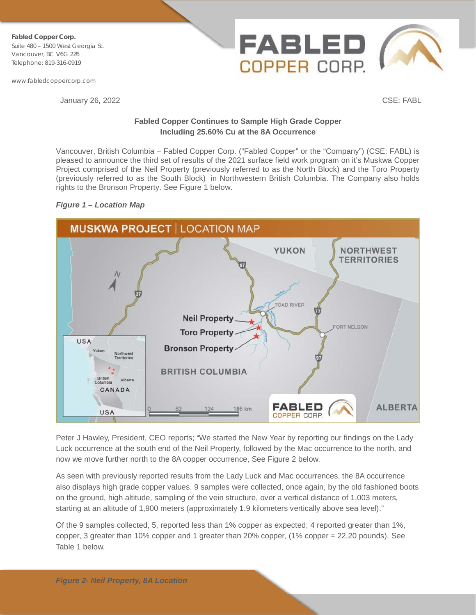**Fabled Copper Corp.** Suite 480 – 1500 West Georgia St. Vancouver, BC V6G 2Z6 Telephone: 819-316-0919

www.fabledcoppercorp.com

January 26, 2022 CSE: FABL

## **Fabled Copper Continues to Sample High Grade Copper Including 25.60% Cu at the 8A Occurrence**

COPPER CORP.

Vancouver, British Columbia – Fabled Copper Corp. ("Fabled Copper" or the "Company") (CSE: FABL) is pleased to announce the third set of results of the 2021 surface field work program on it's Muskwa Copper Project comprised of the Neil Property (previously referred to as the North Block) and the Toro Property (previously referred to as the South Block) in Northwestern British Columbia. The Company also holds rights to the Bronson Property. See Figure 1 below.

# *Figure 1 – Location Map*



Peter J Hawley, President, CEO reports; "We started the New Year by reporting our findings on the Lady Luck occurrence at the south end of the Neil Property, followed by the Mac occurrence to the north, and now we move further north to the 8A copper occurrence, See Figure 2 below.

As seen with previously reported results from the Lady Luck and Mac occurrences, the 8A occurrence also displays high grade copper values. 9 samples were collected, once again, by the old fashioned boots on the ground, high altitude, sampling of the vein structure, over a vertical distance of 1,003 meters, starting at an altitude of 1,900 meters (approximately 1.9 kilometers vertically above sea level)."

Of the 9 samples collected, 5, reported less than 1% copper as expected; 4 reported greater than 1%, copper, 3 greater than 10% copper and 1 greater than 20% copper, (1% copper = 22.20 pounds). See Table 1 below.

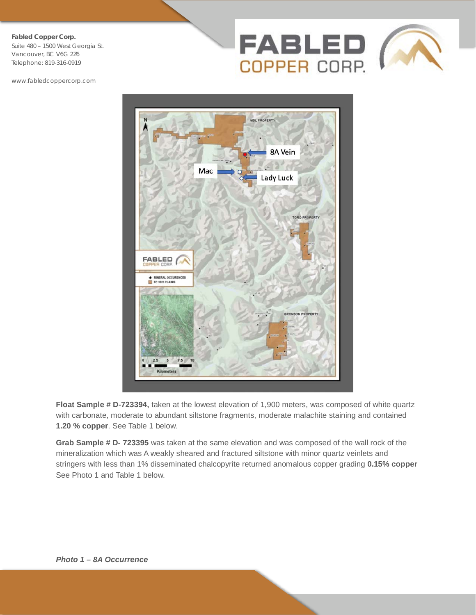Suite 480 – 1500 West Georgia St. Vancouver, BC V6G 2Z6 Telephone: 819-316-0919

www.fabledcoppercorp.com





**Float Sample # D-723394,** taken at the lowest elevation of 1,900 meters, was composed of white quartz with carbonate, moderate to abundant siltstone fragments, moderate malachite staining and contained **1.20 % copper**. See Table 1 below.

**Grab Sample # D- 723395** was taken at the same elevation and was composed of the wall rock of the mineralization which was A weakly sheared and fractured siltstone with minor quartz veinlets and stringers with less than 1% disseminated chalcopyrite returned anomalous copper grading **0.15% copper** See Photo 1 and Table 1 below.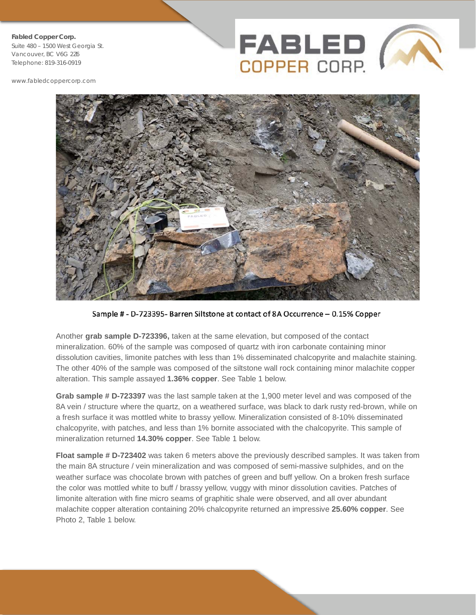Suite 480 – 1500 West Georgia St. Vancouver, BC V6G 2Z6 Telephone: 819-316-0919

www.fabledcoppercorp.com





Sample # - D-723395- Barren Siltstone at contact of 8A Occurrence - 0.15% Copper

Another **grab sample D-723396,** taken at the same elevation, but composed of the contact mineralization. 60% of the sample was composed of quartz with iron carbonate containing minor dissolution cavities, limonite patches with less than 1% disseminated chalcopyrite and malachite staining. The other 40% of the sample was composed of the siltstone wall rock containing minor malachite copper alteration. This sample assayed **1.36% copper**. See Table 1 below.

**Grab sample # D-723397** was the last sample taken at the 1,900 meter level and was composed of the 8A vein / structure where the quartz, on a weathered surface, was black to dark rusty red-brown, while on a fresh surface it was mottled white to brassy yellow. Mineralization consisted of 8-10% disseminated chalcopyrite, with patches, and less than 1% bornite associated with the chalcopyrite. This sample of mineralization returned **14.30% copper**. See Table 1 below.

**Float sample # D-723402** was taken 6 meters above the previously described samples. It was taken from the main 8A structure / vein mineralization and was composed of semi-massive sulphides, and on the weather surface was chocolate brown with patches of green and buff yellow. On a broken fresh surface the color was mottled white to buff / brassy yellow, vuggy with minor dissolution cavities. Patches of limonite alteration with fine micro seams of graphitic shale were observed, and all over abundant malachite copper alteration containing 20% chalcopyrite returned an impressive **25.60% copper**. See Photo 2, Table 1 below.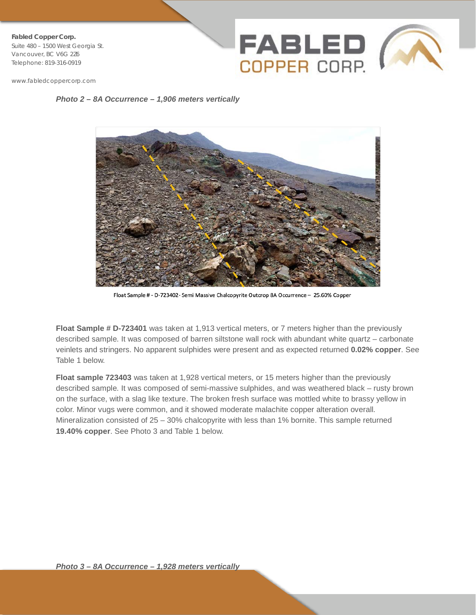**Fabled Copper Corp.** Suite 480 – 1500 West Georgia St. Vancouver, BC V6G 2Z6 Telephone: 819-316-0919



www.fabledcoppercorp.com

*Photo 2 – 8A Occurrence – 1,906 meters vertically*



Float Sample # - D-723402- Semi Massive Chalcopyrite Outcrop 8A Occurrence - 25.60% Copper

**Float Sample # D-723401** was taken at 1,913 vertical meters, or 7 meters higher than the previously described sample. It was composed of barren siltstone wall rock with abundant white quartz – carbonate veinlets and stringers. No apparent sulphides were present and as expected returned **0.02% copper**. See Table 1 below.

**Float sample 723403** was taken at 1,928 vertical meters, or 15 meters higher than the previously described sample. It was composed of semi-massive sulphides, and was weathered black – rusty brown on the surface, with a slag like texture. The broken fresh surface was mottled white to brassy yellow in color. Minor vugs were common, and it showed moderate malachite copper alteration overall. Mineralization consisted of 25 – 30% chalcopyrite with less than 1% bornite. This sample returned **19.40% copper**. See Photo 3 and Table 1 below.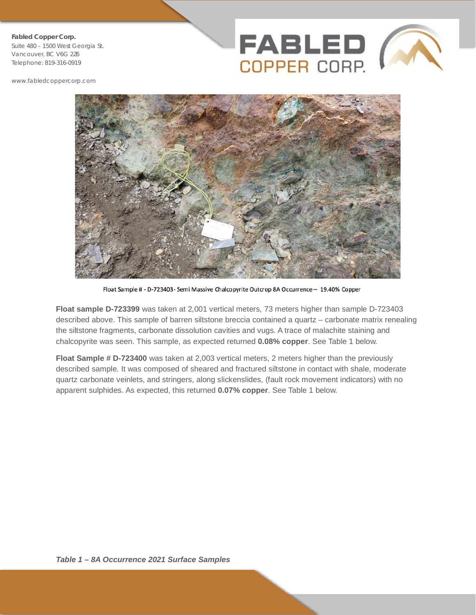Suite 480 – 1500 West Georgia St. Vancouver, BC V6G 2Z6 Telephone: 819-316-0919

www.fabledcoppercorp.com





Float Sample # - D-723403- Semi Massive Chalcopyrite Outcrop 8A Occurrence - 19.40% Copper

**Float sample D-723399** was taken at 2,001 vertical meters, 73 meters higher than sample D-723403 described above. This sample of barren siltstone breccia contained a quartz – carbonate matrix renealing the siltstone fragments, carbonate dissolution cavities and vugs. A trace of malachite staining and chalcopyrite was seen. This sample, as expected returned **0.08% copper**. See Table 1 below.

**Float Sample # D-723400** was taken at 2,003 vertical meters, 2 meters higher than the previously described sample. It was composed of sheared and fractured siltstone in contact with shale, moderate quartz carbonate veinlets, and stringers, along slickenslides, (fault rock movement indicators) with no apparent sulphides. As expected, this returned **0.07% copper**. See Table 1 below.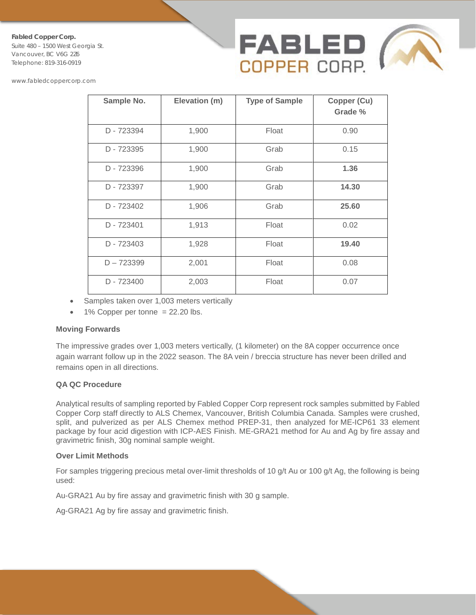Suite 480 – 1500 West Georgia St. Vancouver, BC V6G 2Z6 Telephone: 819-316-0919



www.fabledcoppercorp.com

| Sample No.   | Elevation (m) | <b>Type of Sample</b> | Copper (Cu)<br>Grade % |
|--------------|---------------|-----------------------|------------------------|
| D - 723394   | 1,900         | Float                 | 0.90                   |
| D - 723395   | 1,900         | Grab                  | 0.15                   |
| D - 723396   | 1,900         | Grab                  | 1.36                   |
| D - 723397   | 1,900         | Grab                  | 14.30                  |
| D - 723402   | 1,906         | Grab                  | 25.60                  |
| D - 723401   | 1,913         | Float                 | 0.02                   |
| D - 723403   | 1,928         | Float                 | 19.40                  |
| $D - 723399$ | 2,001         | Float                 | 0.08                   |
| D - 723400   | 2,003         | Float                 | 0.07                   |

- Samples taken over 1,003 meters vertically
- $\bullet$  1% Copper per tonne = 22.20 lbs.

### **Moving Forwards**

The impressive grades over 1,003 meters vertically, (1 kilometer) on the 8A copper occurrence once again warrant follow up in the 2022 season. The 8A vein / breccia structure has never been drilled and remains open in all directions.

## **QA QC Procedure**

Analytical results of sampling reported by Fabled Copper Corp represent rock samples submitted by Fabled Copper Corp staff directly to ALS Chemex, Vancouver, British Columbia Canada. Samples were crushed, split, and pulverized as per ALS Chemex method PREP-31, then analyzed for ME-ICP61 33 element package by four acid digestion with ICP-AES Finish. ME-GRA21 method for Au and Ag by fire assay and gravimetric finish, 30g nominal sample weight.

### **Over Limit Methods**

For samples triggering precious metal over-limit thresholds of 10 g/t Au or 100 g/t Ag, the following is being used:

Au-GRA21 Au by fire assay and gravimetric finish with 30 g sample.

Ag-GRA21 Ag by fire assay and gravimetric finish.